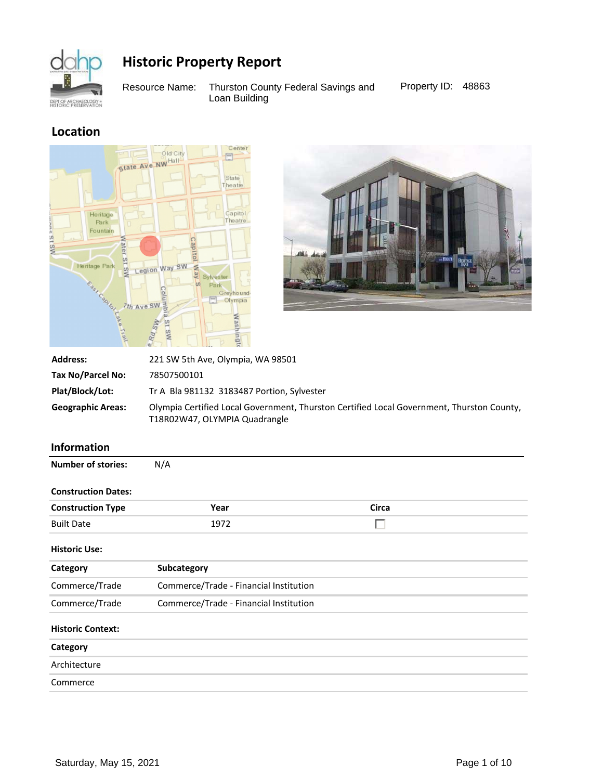

Resource Name: Thurston County Federal Savings and Property ID: 48863 Loan Building

## **Location**





| <b>Address:</b>          | 221 SW 5th Ave, Olympia, WA 98501                                                                                          |
|--------------------------|----------------------------------------------------------------------------------------------------------------------------|
| Tax No/Parcel No:        | 78507500101                                                                                                                |
| Plat/Block/Lot:          | Tr A Bla 981132 3183487 Portion, Sylvester                                                                                 |
| <b>Geographic Areas:</b> | Olympia Certified Local Government, Thurston Certified Local Government, Thurston County,<br>T18R02W47, OLYMPIA Quadrangle |

### **Information**

| <b>Number of stories:</b>  | N/A                                    |       |  |
|----------------------------|----------------------------------------|-------|--|
| <b>Construction Dates:</b> |                                        |       |  |
| <b>Construction Type</b>   | Year                                   | Circa |  |
| <b>Built Date</b>          | 1972                                   |       |  |
| <b>Historic Use:</b>       |                                        |       |  |
| Category                   | Subcategory                            |       |  |
| Commerce/Trade             | Commerce/Trade - Financial Institution |       |  |
| Commerce/Trade             | Commerce/Trade - Financial Institution |       |  |
| <b>Historic Context:</b>   |                                        |       |  |
| Category                   |                                        |       |  |
| Architecture               |                                        |       |  |
| Commerce                   |                                        |       |  |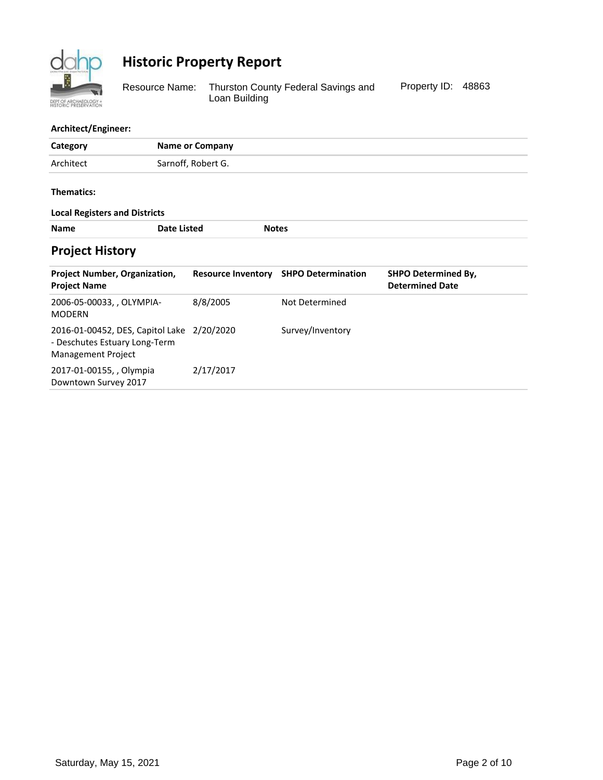

Thurston County Federal Savings and Loan Building Resource Name: Thurston County Federal Savings and Property ID: 48863

#### **Architect/Engineer:**

| Category                                                                                |                    | <b>Name or Company</b>    |              |                           |                                                      |
|-----------------------------------------------------------------------------------------|--------------------|---------------------------|--------------|---------------------------|------------------------------------------------------|
| Architect                                                                               |                    | Sarnoff, Robert G.        |              |                           |                                                      |
| Thematics:                                                                              |                    |                           |              |                           |                                                      |
| <b>Local Registers and Districts</b>                                                    |                    |                           |              |                           |                                                      |
| <b>Name</b>                                                                             | <b>Date Listed</b> |                           | <b>Notes</b> |                           |                                                      |
| <b>Project History</b>                                                                  |                    |                           |              |                           |                                                      |
| <b>Project Number, Organization,</b><br><b>Project Name</b>                             |                    | <b>Resource Inventory</b> |              | <b>SHPO Determination</b> | <b>SHPO Determined By,</b><br><b>Determined Date</b> |
| 2006-05-00033, , OLYMPIA-<br><b>MODERN</b>                                              |                    | 8/8/2005                  |              | Not Determined            |                                                      |
| 2016-01-00452, DES, Capitol Lake<br>- Deschutes Estuary Long-Term<br>Management Project |                    | 2/20/2020                 |              | Survey/Inventory          |                                                      |
| 2017-01-00155, , Olympia<br>Downtown Survey 2017                                        |                    | 2/17/2017                 |              |                           |                                                      |
|                                                                                         |                    |                           |              |                           |                                                      |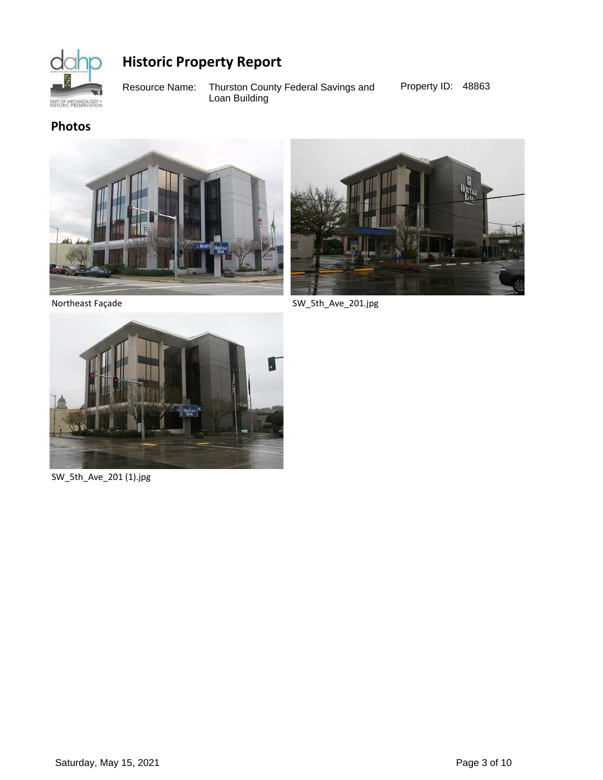

Thurston County Federal Savings and Loan Building Resource Name: Thurston County Federal Savings and Property ID: 48863

**Photos**





Northeast Façade

SW\_5th\_Ave\_201.jpg



SW\_5th\_Ave\_201 (1).jpg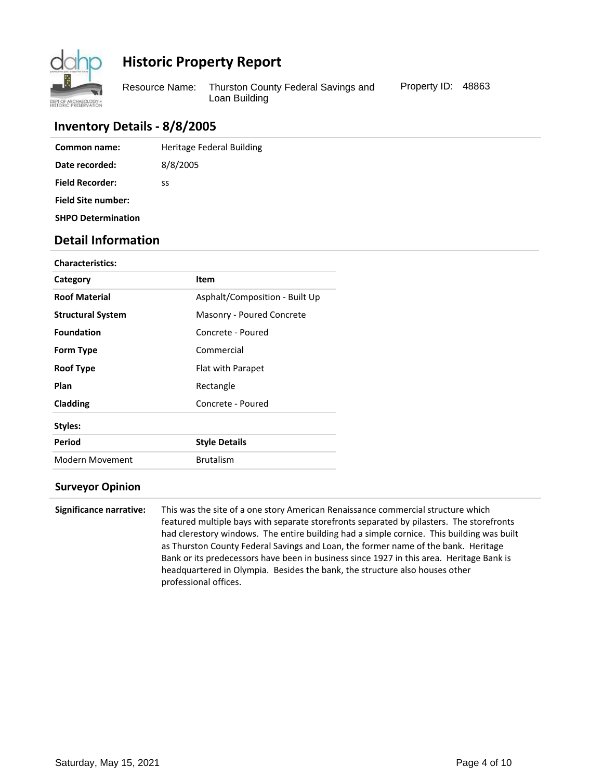

Resource Name: Thurston County Federal Savings and Property ID: 48863 Loan Building

## **Inventory Details - 8/8/2005**

| Common name:              | Heritage Federal Building |
|---------------------------|---------------------------|
| Date recorded:            | 8/8/2005                  |
| <b>Field Recorder:</b>    | SS                        |
| <b>Field Site number:</b> |                           |
| <b>SHPO Determination</b> |                           |

## **Detail Information**

| <b>Characteristics:</b>  |                                |
|--------------------------|--------------------------------|
| Category                 | Item                           |
| <b>Roof Material</b>     | Asphalt/Composition - Built Up |
| <b>Structural System</b> | Masonry - Poured Concrete      |
| <b>Foundation</b>        | Concrete - Poured              |
| Form Type                | Commercial                     |
| <b>Roof Type</b>         | Flat with Parapet              |
| Plan                     | Rectangle                      |
| Cladding                 | Concrete - Poured              |
| Styles:                  |                                |
| Period                   | <b>Style Details</b>           |
| Modern Movement          | <b>Brutalism</b>               |
|                          |                                |

#### **Surveyor Opinion**

**Significance narrative:** This was the site of a one story American Renaissance commercial structure which featured multiple bays with separate storefronts separated by pilasters. The storefronts had clerestory windows. The entire building had a simple cornice. This building was built as Thurston County Federal Savings and Loan, the former name of the bank. Heritage Bank or its predecessors have been in business since 1927 in this area. Heritage Bank is headquartered in Olympia. Besides the bank, the structure also houses other professional offices.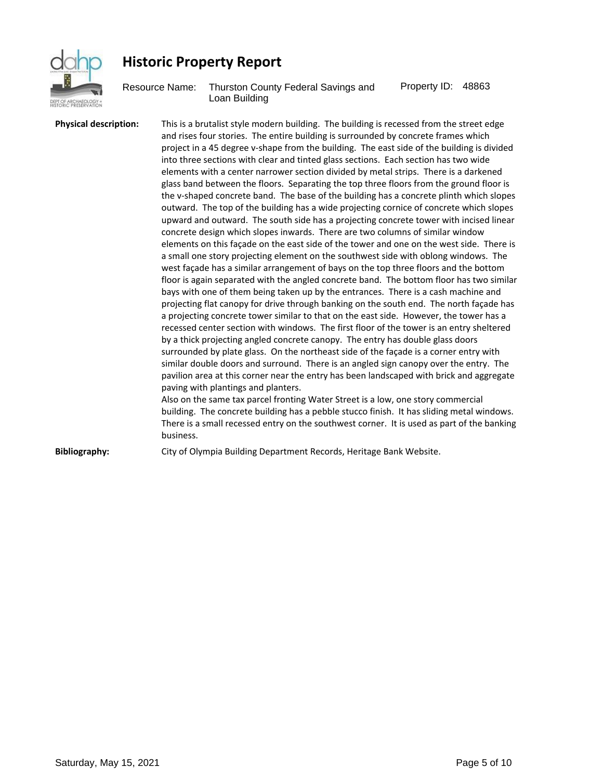

Resource Name: Thurston County Federal Savings and Property ID: 48863 Loan Building

**Physical description:** This is a brutalist style modern building. The building is recessed from the street edge and rises four stories. The entire building is surrounded by concrete frames which project in a 45 degree v-shape from the building. The east side of the building is divided into three sections with clear and tinted glass sections. Each section has two wide elements with a center narrower section divided by metal strips. There is a darkened glass band between the floors. Separating the top three floors from the ground floor is the v-shaped concrete band. The base of the building has a concrete plinth which slopes outward. The top of the building has a wide projecting cornice of concrete which slopes upward and outward. The south side has a projecting concrete tower with incised linear concrete design which slopes inwards. There are two columns of similar window elements on this façade on the east side of the tower and one on the west side. There is a small one story projecting element on the southwest side with oblong windows. The west façade has a similar arrangement of bays on the top three floors and the bottom floor is again separated with the angled concrete band. The bottom floor has two similar bays with one of them being taken up by the entrances. There is a cash machine and projecting flat canopy for drive through banking on the south end. The north façade has a projecting concrete tower similar to that on the east side. However, the tower has a recessed center section with windows. The first floor of the tower is an entry sheltered by a thick projecting angled concrete canopy. The entry has double glass doors surrounded by plate glass. On the northeast side of the façade is a corner entry with similar double doors and surround. There is an angled sign canopy over the entry. The pavilion area at this corner near the entry has been landscaped with brick and aggregate paving with plantings and planters. Also on the same tax parcel fronting Water Street is a low, one story commercial building. The concrete building has a pebble stucco finish. It has sliding metal windows. There is a small recessed entry on the southwest corner. It is used as part of the banking business. **Bibliography:** City of Olympia Building Department Records, Heritage Bank Website.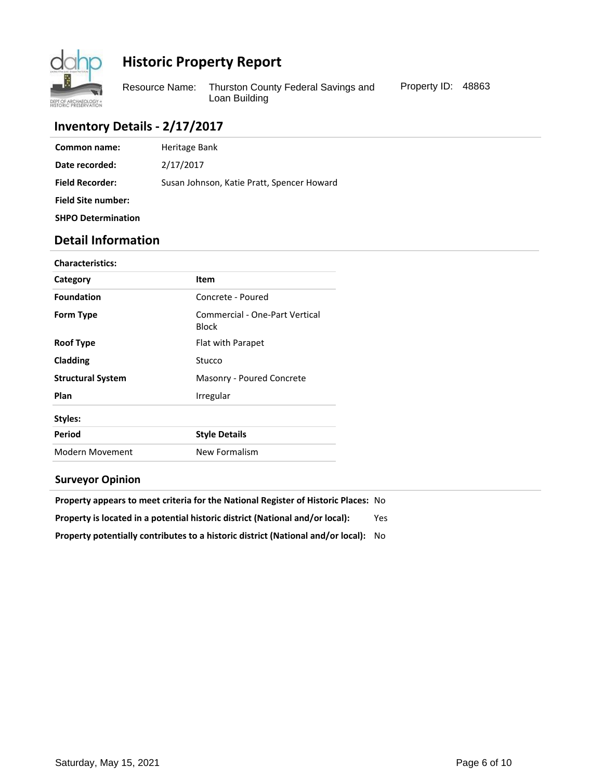

Resource Name: Thurston County Federal Savings and Property ID: 48863 Loan Building

## **Inventory Details - 2/17/2017**

| Common name:              | Heritage Bank                              |
|---------------------------|--------------------------------------------|
| Date recorded:            | 2/17/2017                                  |
| <b>Field Recorder:</b>    | Susan Johnson, Katie Pratt, Spencer Howard |
| <b>Field Site number:</b> |                                            |
| <b>SHPO Determination</b> |                                            |

## **Detail Information**

| <b>Characteristics:</b>  |                                         |
|--------------------------|-----------------------------------------|
| Category                 | <b>Item</b>                             |
| <b>Foundation</b>        | Concrete - Poured                       |
| Form Type                | Commercial - One-Part Vertical<br>Block |
| <b>Roof Type</b>         | Flat with Parapet                       |
| Cladding                 | Stucco                                  |
| <b>Structural System</b> | Masonry - Poured Concrete               |
| Plan                     | Irregular                               |
| Styles:                  |                                         |
| Period                   | <b>Style Details</b>                    |
| <b>Modern Movement</b>   | New Formalism                           |
|                          |                                         |

### **Surveyor Opinion**

| <b>Property appears to meet criteria for the National Register of Historic Places: No</b> |      |
|-------------------------------------------------------------------------------------------|------|
| Property is located in a potential historic district (National and/or local):             | Yes. |
| Property potentially contributes to a historic district (National and/or local):          | - No |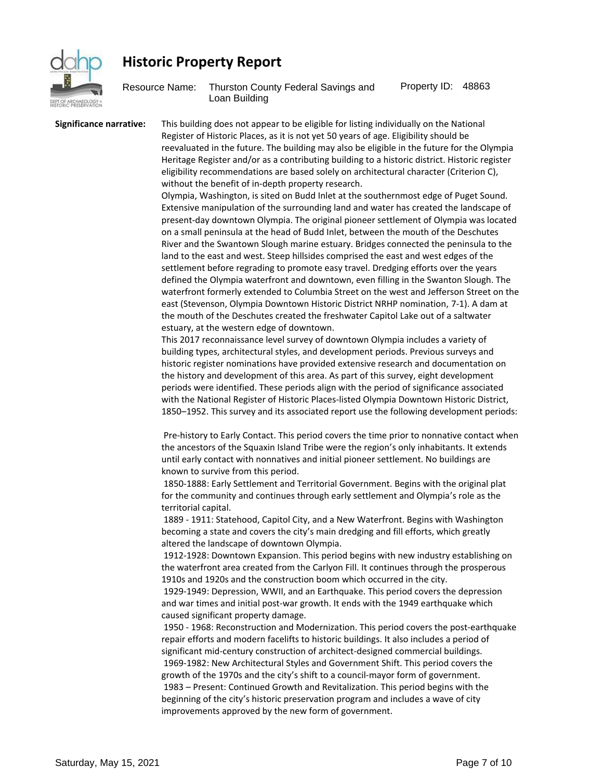

Resource Name: Thurston County Federal Savings and Property ID: 48863 Loan Building

**Significance narrative:** This building does not appear to be eligible for listing individually on the National Register of Historic Places, as it is not yet 50 years of age. Eligibility should be reevaluated in the future. The building may also be eligible in the future for the Olympia Heritage Register and/or as a contributing building to a historic district. Historic register eligibility recommendations are based solely on architectural character (Criterion C), without the benefit of in-depth property research.

> Olympia, Washington, is sited on Budd Inlet at the southernmost edge of Puget Sound. Extensive manipulation of the surrounding land and water has created the landscape of present-day downtown Olympia. The original pioneer settlement of Olympia was located on a small peninsula at the head of Budd Inlet, between the mouth of the Deschutes River and the Swantown Slough marine estuary. Bridges connected the peninsula to the land to the east and west. Steep hillsides comprised the east and west edges of the settlement before regrading to promote easy travel. Dredging efforts over the years defined the Olympia waterfront and downtown, even filling in the Swanton Slough. The waterfront formerly extended to Columbia Street on the west and Jefferson Street on the east (Stevenson, Olympia Downtown Historic District NRHP nomination, 7-1). A dam at the mouth of the Deschutes created the freshwater Capitol Lake out of a saltwater estuary, at the western edge of downtown.

> This 2017 reconnaissance level survey of downtown Olympia includes a variety of building types, architectural styles, and development periods. Previous surveys and historic register nominations have provided extensive research and documentation on the history and development of this area. As part of this survey, eight development periods were identified. These periods align with the period of significance associated with the National Register of Historic Places-listed Olympia Downtown Historic District, 1850-1952. This survey and its associated report use the following development periods:

> Pre-history to Early Contact. This period covers the time prior to nonnative contact when the ancestors of the Squaxin Island Tribe were the region's only inhabitants. It extends until early contact with nonnatives and initial pioneer settlement. No buildings are known to survive from this period.

1850-1888: Early Settlement and Territorial Government. Begins with the original plat for the community and continues through early settlement and Olympia's role as the territorial capital.

1889 - 1911: Statehood, Capitol City, and a New Waterfront. Begins with Washington becoming a state and covers the city's main dredging and fill efforts, which greatly altered the landscape of downtown Olympia.

1912-1928: Downtown Expansion. This period begins with new industry establishing on the waterfront area created from the Carlyon Fill. It continues through the prosperous 1910s and 1920s and the construction boom which occurred in the city.

1929-1949: Depression, WWII, and an Earthquake. This period covers the depression and war times and initial post-war growth. It ends with the 1949 earthquake which caused significant property damage.

1950 - 1968: Reconstruction and Modernization. This period covers the post-earthquake repair efforts and modern facelifts to historic buildings. It also includes a period of significant mid-century construction of architect-designed commercial buildings. 1969-1982: New Architectural Styles and Government Shift. This period covers the growth of the 1970s and the city's shift to a council-mayor form of government. 1983 - Present: Continued Growth and Revitalization. This period begins with the beginning of the city's historic preservation program and includes a wave of city improvements approved by the new form of government.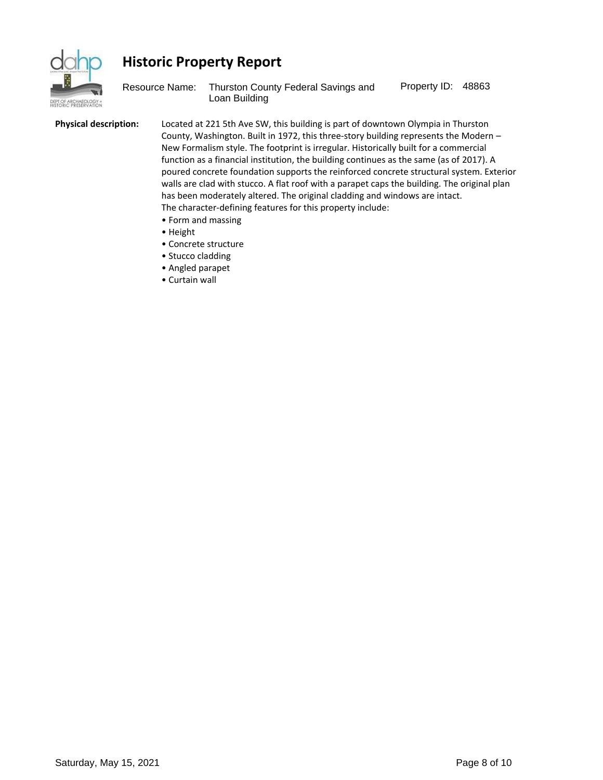

Resource Name: Thurston County Federal Savings and Property ID: 48863 Loan Building

**Physical description:** Located at 221 5th Ave SW, this building is part of downtown Olympia in Thurston County, Washington. Built in 1972, this three-story building represents the Modern  $-$ New Formalism style. The footprint is irregular. Historically built for a commercial function as a financial institution, the building continues as the same (as of 2017). A poured concrete foundation supports the reinforced concrete structural system. Exterior walls are clad with stucco. A flat roof with a parapet caps the building. The original plan has been moderately altered. The original cladding and windows are intact. The character-defining features for this property include:

- Form and massing
- Height
- Concrete structure
- Stucco cladding
- Angled parapet
- Curtain wall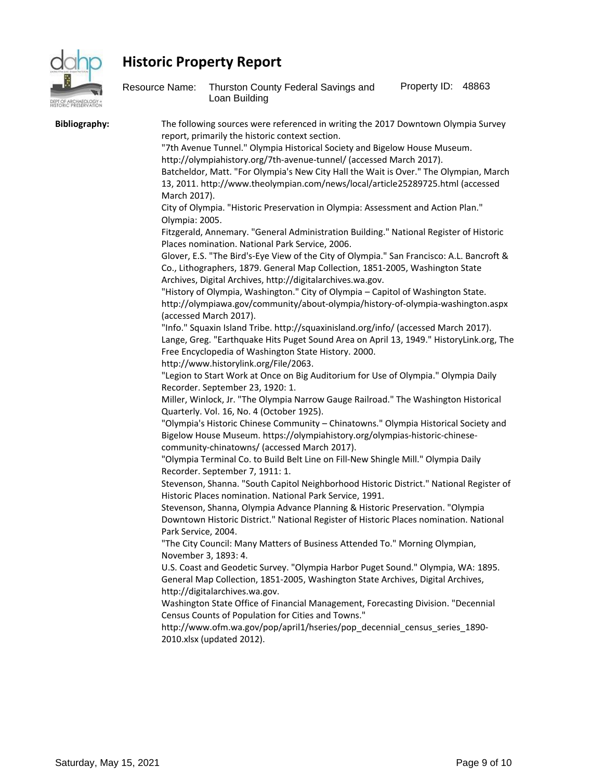

| 161<br>PT OF ARCHAECLO<br>STORIC PRESERVAT | Resource Name:                                        | Thurston County Federal Savings and<br>Loan Building                                                                                                                                                                                                                                                                                                                                                                                                                                                                                                                                                                                                                                                                                                                                                                                                                                                                                                                                                                                                                                                                                                                                                                                                                                                                                                                                                                                                                                                                                                                                                                                                                                                                                                                                                                                                                                                                                                                                                                                                                                                                                                                                                                                                                                                                                                                                                                                                                                                                                                                                                                                                                                                                                                                                                                                                                                                                        | Property ID: 48863 |  |
|--------------------------------------------|-------------------------------------------------------|-----------------------------------------------------------------------------------------------------------------------------------------------------------------------------------------------------------------------------------------------------------------------------------------------------------------------------------------------------------------------------------------------------------------------------------------------------------------------------------------------------------------------------------------------------------------------------------------------------------------------------------------------------------------------------------------------------------------------------------------------------------------------------------------------------------------------------------------------------------------------------------------------------------------------------------------------------------------------------------------------------------------------------------------------------------------------------------------------------------------------------------------------------------------------------------------------------------------------------------------------------------------------------------------------------------------------------------------------------------------------------------------------------------------------------------------------------------------------------------------------------------------------------------------------------------------------------------------------------------------------------------------------------------------------------------------------------------------------------------------------------------------------------------------------------------------------------------------------------------------------------------------------------------------------------------------------------------------------------------------------------------------------------------------------------------------------------------------------------------------------------------------------------------------------------------------------------------------------------------------------------------------------------------------------------------------------------------------------------------------------------------------------------------------------------------------------------------------------------------------------------------------------------------------------------------------------------------------------------------------------------------------------------------------------------------------------------------------------------------------------------------------------------------------------------------------------------------------------------------------------------------------------------------------------------|--------------------|--|
| <b>Bibliography:</b>                       | March 2017).<br>Olympia: 2005.<br>Park Service, 2004. | The following sources were referenced in writing the 2017 Downtown Olympia Survey<br>report, primarily the historic context section.<br>"7th Avenue Tunnel." Olympia Historical Society and Bigelow House Museum.<br>http://olympiahistory.org/7th-avenue-tunnel/ (accessed March 2017).<br>Batcheldor, Matt. "For Olympia's New City Hall the Wait is Over." The Olympian, March<br>13, 2011. http://www.theolympian.com/news/local/article25289725.html (accessed<br>City of Olympia. "Historic Preservation in Olympia: Assessment and Action Plan."<br>Fitzgerald, Annemary. "General Administration Building." National Register of Historic<br>Places nomination. National Park Service, 2006.<br>Glover, E.S. "The Bird's-Eye View of the City of Olympia." San Francisco: A.L. Bancroft &<br>Co., Lithographers, 1879. General Map Collection, 1851-2005, Washington State<br>Archives, Digital Archives, http://digitalarchives.wa.gov.<br>"History of Olympia, Washington." City of Olympia - Capitol of Washington State.<br>http://olympiawa.gov/community/about-olympia/history-of-olympia-washington.aspx<br>(accessed March 2017).<br>"Info." Squaxin Island Tribe. http://squaxinisland.org/info/ (accessed March 2017).<br>Lange, Greg. "Earthquake Hits Puget Sound Area on April 13, 1949." HistoryLink.org, The<br>Free Encyclopedia of Washington State History. 2000.<br>http://www.historylink.org/File/2063.<br>"Legion to Start Work at Once on Big Auditorium for Use of Olympia." Olympia Daily<br>Recorder. September 23, 1920: 1.<br>Miller, Winlock, Jr. "The Olympia Narrow Gauge Railroad." The Washington Historical<br>Quarterly. Vol. 16, No. 4 (October 1925).<br>"Olympia's Historic Chinese Community - Chinatowns." Olympia Historical Society and<br>Bigelow House Museum. https://olympiahistory.org/olympias-historic-chinese-<br>community-chinatowns/ (accessed March 2017).<br>"Olympia Terminal Co. to Build Belt Line on Fill-New Shingle Mill." Olympia Daily<br>Recorder. September 7, 1911: 1.<br>Stevenson, Shanna. "South Capitol Neighborhood Historic District." National Register of<br>Historic Places nomination. National Park Service, 1991.<br>Stevenson, Shanna, Olympia Advance Planning & Historic Preservation. "Olympia<br>Downtown Historic District." National Register of Historic Places nomination. National<br>"The City Council: Many Matters of Business Attended To." Morning Olympian,<br>November 3, 1893: 4.<br>U.S. Coast and Geodetic Survey. "Olympia Harbor Puget Sound." Olympia, WA: 1895.<br>General Map Collection, 1851-2005, Washington State Archives, Digital Archives,<br>http://digitalarchives.wa.gov.<br>Washington State Office of Financial Management, Forecasting Division. "Decennial<br>Census Counts of Population for Cities and Towns."<br>http://www.ofm.wa.gov/pop/april1/hseries/pop_decennial_census_series_1890- |                    |  |
|                                            |                                                       | 2010.xlsx (updated 2012).                                                                                                                                                                                                                                                                                                                                                                                                                                                                                                                                                                                                                                                                                                                                                                                                                                                                                                                                                                                                                                                                                                                                                                                                                                                                                                                                                                                                                                                                                                                                                                                                                                                                                                                                                                                                                                                                                                                                                                                                                                                                                                                                                                                                                                                                                                                                                                                                                                                                                                                                                                                                                                                                                                                                                                                                                                                                                                   |                    |  |